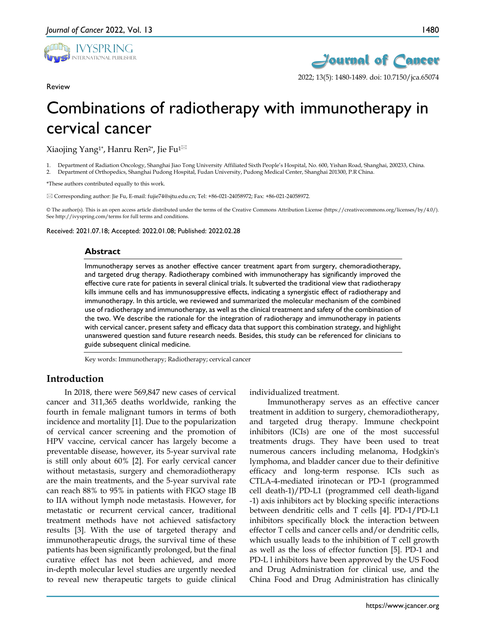

Review



1480

2022; 13(5): 1480-1489. doi: 10.7150/jca.65074

# Combinations of radiotherapy with immunotherapy in cervical cancer

Xiaojing Yang<sup>1\*</sup>, Hanru Ren<sup>2\*</sup>, Jie Fu<sup>1 $\boxtimes$ </sup>

1. Department of Radiation Oncology, Shanghai Jiao Tong University Affiliated Sixth People's Hospital, No. 600, Yishan Road, Shanghai, 200233, China.

2. Department of Orthopedics, Shanghai Pudong Hospital, Fudan University, Pudong Medical Center, Shanghai 201300, P.R China.

\*These authors contributed equally to this work.

Corresponding author: Jie Fu, E-mail: fujie74@sjtu.edu.cn; Tel: +86-021-24058972; Fax: +86-021-24058972.

© The author(s). This is an open access article distributed under the terms of the Creative Commons Attribution License (https://creativecommons.org/licenses/by/4.0/). See http://ivyspring.com/terms for full terms and conditions.

Received: 2021.07.18; Accepted: 2022.01.08; Published: 2022.02.28

#### **Abstract**

Immunotherapy serves as another effective cancer treatment apart from surgery, chemoradiotherapy, and targeted drug therapy. Radiotherapy combined with immunotherapy has significantly improved the effective cure rate for patients in several clinical trials. It subverted the traditional view that radiotherapy kills immune cells and has immunosuppressive effects, indicating a synergistic effect of radiotherapy and immunotherapy. In this article, we reviewed and summarized the molecular mechanism of the combined use of radiotherapy and immunotherapy, as well as the clinical treatment and safety of the combination of the two. We describe the rationale for the integration of radiotherapy and immunotherapy in patients with cervical cancer, present safety and efficacy data that support this combination strategy, and highlight unanswered question sand future research needs. Besides, this study can be referenced for clinicians to guide subsequent clinical medicine.

Key words: Immunotherapy; Radiotherapy; cervical cancer

#### **Introduction**

In 2018, there were 569,847 new cases of cervical cancer and 311,365 deaths worldwide, ranking the fourth in female malignant tumors in terms of both incidence and mortality [1]. Due to the popularization of cervical cancer screening and the promotion of HPV vaccine, cervical cancer has largely become a preventable disease, however, its 5-year survival rate is still only about 60% [2]. For early cervical cancer without metastasis, surgery and chemoradiotherapy are the main treatments, and the 5-year survival rate can reach 88% to 95% in patients with FIGO stage IB to IIA without lymph node metastasis. However, for metastatic or recurrent cervical cancer, traditional treatment methods have not achieved satisfactory results [3]. With the use of targeted therapy and immunotherapeutic drugs, the survival time of these patients has been significantly prolonged, but the final curative effect has not been achieved, and more in-depth molecular level studies are urgently needed to reveal new therapeutic targets to guide clinical

individualized treatment.

Immunotherapy serves as an effective cancer treatment in addition to surgery, chemoradiotherapy, and targeted drug therapy. Immune checkpoint inhibitors (ICIs) are one of the most successful treatments drugs. They have been used to treat numerous cancers including melanoma, Hodgkin's lymphoma, and bladder cancer due to their definitive efficacy and long-term response. ICIs such as CTLA-4-mediated irinotecan or PD-1 (programmed cell death-1)/PD-L1 (programmed cell death-ligand -1) axis inhibitors act by blocking specific interactions between dendritic cells and T cells [4]. PD-1/PD-L1 inhibitors specifically block the interaction between effector T cells and cancer cells and/or dendritic cells, which usually leads to the inhibition of T cell growth as well as the loss of effector function [5]. PD-1 and PD-L l inhibitors have been approved by the US Food and Drug Administration for clinical use, and the China Food and Drug Administration has clinically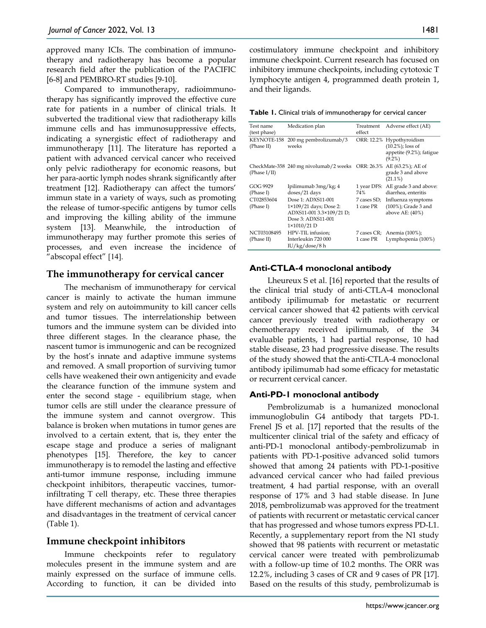approved many ICIs. The combination of immunotherapy and radiotherapy has become a popular research field after the publication of the PACIFIC [6-8] and PEMBRO-RT studies [9-10].

Compared to immunotherapy, radioimmunotherapy has significantly improved the effective cure rate for patients in a number of clinical trials. It subverted the traditional view that radiotherapy kills immune cells and has immunosuppressive effects, indicating a synergistic effect of radiotherapy and immunotherapy [11]. The literature has reported a patient with advanced cervical cancer who received only pelvic radiotherapy for economic reasons, but her para-aortic lymph nodes shrank significantly after treatment [12]. Radiotherapy can affect the tumors' immun state in a variety of ways, such as promoting the release of tumor-specific antigens by tumor cells and improving the killing ability of the immune system [13]. Meanwhile, the introduction of immunotherapy may further promote this series of processes, and even increase the incidence of "abscopal effect" [14].

## **The immunotherapy for cervical cancer**

The mechanism of immunotherapy for cervical cancer is mainly to activate the human immune system and rely on autoimmunity to kill cancer cells and tumor tissues. The interrelationship between tumors and the immune system can be divided into three different stages. In the clearance phase, the nascent tumor is immunogenic and can be recognized by the host's innate and adaptive immune systems and removed. A small proportion of surviving tumor cells have weakened their own antigenicity and evade the clearance function of the immune system and enter the second stage - equilibrium stage, when tumor cells are still under the clearance pressure of the immune system and cannot overgrow. This balance is broken when mutations in tumor genes are involved to a certain extent, that is, they enter the escape stage and produce a series of malignant phenotypes [15]. Therefore, the key to cancer immunotherapy is to remodel the lasting and effective anti-tumor immune response, including immune checkpoint inhibitors, therapeutic vaccines, tumorinfiltrating T cell therapy, etc. These three therapies have different mechanisms of action and advantages and disadvantages in the treatment of cervical cancer (Table 1).

## **Immune checkpoint inhibitors**

Immune checkpoints refer to regulatory molecules present in the immune system and are mainly expressed on the surface of immune cells. According to function, it can be divided into

1481

costimulatory immune checkpoint and inhibitory immune checkpoint. Current research has focused on inhibitory immune checkpoints, including cytotoxic T lymphocyte antigen 4, programmed death protein 1, and their ligands.

**Table 1.** Clinical trials of immunotherapy for cervical cancer

| Test name                 | Medication plan                                                                                               | Treatment                | Adverse effect (AE)                                                                        |
|---------------------------|---------------------------------------------------------------------------------------------------------------|--------------------------|--------------------------------------------------------------------------------------------|
| (test phase)              |                                                                                                               | effect                   |                                                                                            |
| KEYNOTE-158<br>(Phase II) | 200 mg pembrolizumab/3<br>weeks                                                                               |                          | ORR: 12.2% Hypothyroidism<br>$(10.2\%)$ ; loss of<br>appetite (9.2%); fatigue<br>$(9.2\%)$ |
| (Phase $I/II$ )           | CheckMate-358 240 mg nivolumab/2 weeks ORR: $26.3\%$ AE (63.2%); AE of                                        |                          | grade 3 and above<br>$(21.1\%)$                                                            |
| GOG 9929<br>(Phase I)     | Ipilimumab 3mg/kg; 4<br>doses/21 days                                                                         | 1 year DFS:<br>74%       | AE grade 3 and above:<br>diarrhea, enteritis                                               |
| CT02853604<br>(Phase I)   | Dose 1: ADXS11-001<br>1×109/21 days; Dose 2:<br>ADXS11-001 3.3×109/21 D;<br>Dose 3: ADXS11-001<br>1×1010/21 D | 7 cases SD;<br>1 case PR | Influenza symptoms<br>(100%); Grade 3 and<br>above AE: $(40\%)$                            |
| NCT03108495<br>(Phase II) | HPV-TIL infusion;<br>Interleukin 720 000<br>IU/kg/dose/8 h                                                    | 1 case PR                | 7 cases CR; Anemia (100%);<br>Lymphopenia (100%)                                           |

#### **Anti-CTLA-4 monoclonal antibody**

Lheureux S et al. [16] reported that the results of the clinical trial study of anti-CTLA-4 monoclonal antibody ipilimumab for metastatic or recurrent cervical cancer showed that 42 patients with cervical cancer previously treated with radiotherapy or chemotherapy received ipilimumab, of the 34 evaluable patients, 1 had partial response, 10 had stable disease, 23 had progressive disease. The results of the study showed that the anti-CTLA-4 monoclonal antibody ipilimumab had some efficacy for metastatic or recurrent cervical cancer.

#### **Anti-PD-1 monoclonal antibody**

Pembrolizumab is a humanized monoclonal immunoglobulin G4 antibody that targets PD-1. Frenel JS et al. [17] reported that the results of the multicenter clinical trial of the safety and efficacy of anti-PD-1 monoclonal antibody-pembrolizumab in patients with PD-1-positive advanced solid tumors showed that among 24 patients with PD-1-positive advanced cervical cancer who had failed previous treatment, 4 had partial response, with an overall response of 17% and 3 had stable disease. In June 2018, pembrolizumab was approved for the treatment of patients with recurrent or metastatic cervical cancer that has progressed and whose tumors express PD-L1. Recently, a supplementary report from the N1 study showed that 98 patients with recurrent or metastatic cervical cancer were treated with pembrolizumab with a follow-up time of 10.2 months. The ORR was 12.2%, including 3 cases of CR and 9 cases of PR [17]. Based on the results of this study, pembrolizumab is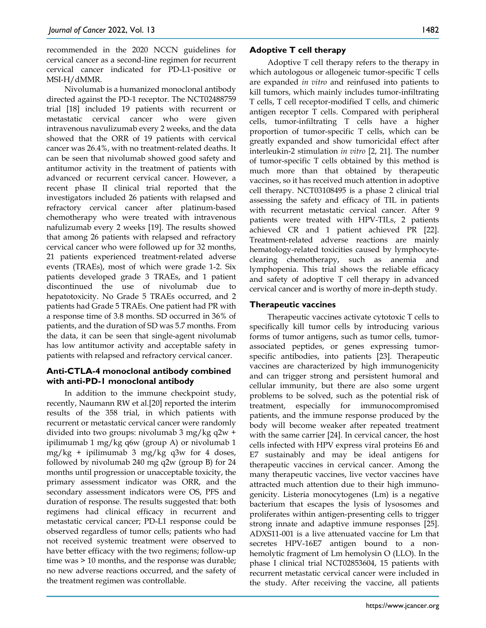recommended in the 2020 NCCN guidelines for cervical cancer as a second-line regimen for recurrent cervical cancer indicated for PD-L1-positive or MSI-H/dMMR.

Nivolumab is a humanized monoclonal antibody directed against the PD-1 receptor. The NCT02488759 trial [18] included 19 patients with recurrent or metastatic cervical cancer who were given intravenous navulizumab every 2 weeks, and the data showed that the ORR of 19 patients with cervical cancer was 26.4%, with no treatment-related deaths. It can be seen that nivolumab showed good safety and antitumor activity in the treatment of patients with advanced or recurrent cervical cancer. However, a recent phase II clinical trial reported that the investigators included 26 patients with relapsed and refractory cervical cancer after platinum-based chemotherapy who were treated with intravenous nafulizumab every 2 weeks [19]. The results showed that among 26 patients with relapsed and refractory cervical cancer who were followed up for 32 months, 21 patients experienced treatment-related adverse events (TRAEs), most of which were grade 1-2. Six patients developed grade 3 TRAEs, and 1 patient discontinued the use of nivolumab due to hepatotoxicity. No Grade 5 TRAEs occurred, and 2 patients had Grade 5 TRAEs. One patient had PR with a response time of 3.8 months. SD occurred in 36% of patients, and the duration of SD was 5.7 months. From the data, it can be seen that single-agent nivolumab has low antitumor activity and acceptable safety in patients with relapsed and refractory cervical cancer.

## **Anti-CTLA-4 monoclonal antibody combined with anti-PD-1 monoclonal antibody**

In addition to the immune checkpoint study, recently, Naumann RW et al.[20] reported the interim results of the 358 trial, in which patients with recurrent or metastatic cervical cancer were randomly divided into two groups: nivolumab 3 mg/kg q2w + ipilimumab 1 mg/kg q6w (group A) or nivolumab 1 mg/kg + ipilimumab 3 mg/kg q3w for 4 doses, followed by nivolumab 240 mg q2w (group B) for 24 months until progression or unacceptable toxicity, the primary assessment indicator was ORR, and the secondary assessment indicators were OS, PFS and duration of response. The results suggested that: both regimens had clinical efficacy in recurrent and metastatic cervical cancer; PD-L1 response could be observed regardless of tumor cells; patients who had not received systemic treatment were observed to have better efficacy with the two regimens; follow-up time was > 10 months, and the response was durable; no new adverse reactions occurred, and the safety of the treatment regimen was controllable.

## **Adoptive T cell therapy**

Adoptive T cell therapy refers to the therapy in which autologous or allogeneic tumor-specific T cells are expanded *in vitro* and reinfused into patients to kill tumors, which mainly includes tumor-infiltrating T cells, T cell receptor-modified T cells, and chimeric antigen receptor T cells. Compared with peripheral cells, tumor-infiltrating T cells have a higher proportion of tumor-specific T cells, which can be greatly expanded and show tumoricidal effect after interleukin-2 stimulation *in vitro* [2, 21]. The number of tumor-specific T cells obtained by this method is much more than that obtained by therapeutic vaccines, so it has received much attention in adoptive cell therapy. NCT03108495 is a phase 2 clinical trial assessing the safety and efficacy of TIL in patients with recurrent metastatic cervical cancer. After 9 patients were treated with HPV-TILs, 2 patients achieved CR and 1 patient achieved PR [22]. Treatment-related adverse reactions are mainly hematology-related toxicities caused by lymphocyteclearing chemotherapy, such as anemia and lymphopenia. This trial shows the reliable efficacy and safety of adoptive T cell therapy in advanced cervical cancer and is worthy of more in-depth study.

## **Therapeutic vaccines**

Therapeutic vaccines activate cytotoxic T cells to specifically kill tumor cells by introducing various forms of tumor antigens, such as tumor cells, tumorassociated peptides, or genes expressing tumorspecific antibodies, into patients [23]. Therapeutic vaccines are characterized by high immunogenicity and can trigger strong and persistent humoral and cellular immunity, but there are also some urgent problems to be solved, such as the potential risk of treatment, especially for immunocompromised patients, and the immune response produced by the body will become weaker after repeated treatment with the same carrier [24]. In cervical cancer, the host cells infected with HPV express viral proteins E6 and E7 sustainably and may be ideal antigens for therapeutic vaccines in cervical cancer. Among the many therapeutic vaccines, live vector vaccines have attracted much attention due to their high immunogenicity. Listeria monocytogenes (Lm) is a negative bacterium that escapes the lysis of lysosomes and proliferates within antigen-presenting cells to trigger strong innate and adaptive immune responses [25]. ADXS11-001 is a live attenuated vaccine for Lm that secretes HPV-16E7 antigen bound to a nonhemolytic fragment of Lm hemolysin O (LLO). In the phase I clinical trial NCT02853604, 15 patients with recurrent metastatic cervical cancer were included in the study. After receiving the vaccine, all patients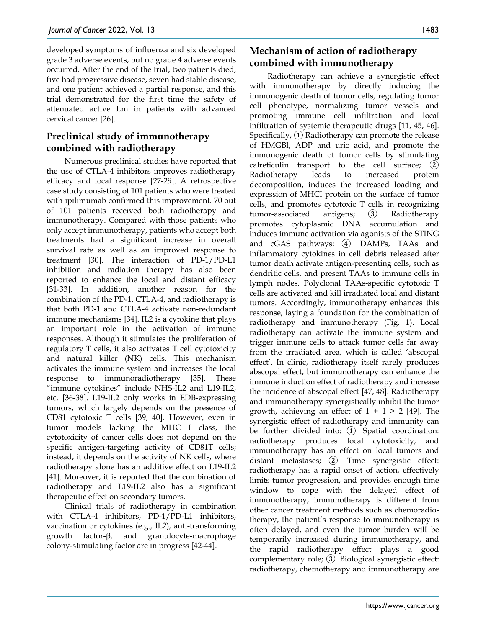developed symptoms of influenza and six developed grade 3 adverse events, but no grade 4 adverse events occurred. After the end of the trial, two patients died, five had progressive disease, seven had stable disease, and one patient achieved a partial response, and this trial demonstrated for the first time the safety of attenuated active Lm in patients with advanced cervical cancer [26].

## **Preclinical study of immunotherapy combined with radiotherapy**

Numerous preclinical studies have reported that the use of CTLA-4 inhibitors improves radiotherapy efficacy and local response [27-29]. A retrospective case study consisting of 101 patients who were treated with ipilimumab confirmed this improvement. 70 out of 101 patients received both radiotherapy and immunotherapy. Compared with those patients who only accept immunotherapy, patients who accept both treatments had a significant increase in overall survival rate as well as an improved response to treatment [30]. The interaction of PD-1/PD-L1 inhibition and radiation therapy has also been reported to enhance the local and distant efficacy [31-33]. In addition, another reason for the combination of the PD-1, CTLA-4, and radiotherapy is that both PD-1 and CTLA-4 activate non-redundant immune mechanisms [34]. IL2 is a cytokine that plays an important role in the activation of immune responses. Although it stimulates the proliferation of regulatory T cells, it also activates T cell cytotoxicity and natural killer (NK) cells. This mechanism activates the immune system and increases the local response to immunoradiotherapy [35]. These "immune cytokines" include NHS-IL2 and L19-IL2, etc. [36-38]. L19-IL2 only works in EDB-expressing tumors, which largely depends on the presence of CD81 cytotoxic T cells [39, 40]. However, even in tumor models lacking the MHC I class, the cytotoxicity of cancer cells does not depend on the specific antigen-targeting activity of CD81T cells; instead, it depends on the activity of NK cells, where radiotherapy alone has an additive effect on L19-IL2 [41]. Moreover, it is reported that the combination of radiotherapy and L19-IL2 also has a significant therapeutic effect on secondary tumors.

Clinical trials of radiotherapy in combination with CTLA-4 inhibitors, PD-1/PD-L1 inhibitors, vaccination or cytokines (e.g., IL2), anti-transforming growth factor-β, and granulocyte-macrophage colony-stimulating factor are in progress [42-44].

## **Mechanism of action of radiotherapy combined with immunotherapy**

Radiotherapy can achieve a synergistic effect with immunotherapy by directly inducing the immunogenic death of tumor cells, regulating tumor cell phenotype, normalizing tumor vessels and promoting immune cell infiltration and local infiltration of systemic therapeutic drugs [11, 45, 46]. Specifically,  $(1)$  Radiotherapy can promote the release of HMGBl, ADP and uric acid, and promote the immunogenic death of tumor cells by stimulating calreticulin transport to the cell surface;  $(2)$ Radiotherapy leads to increased protein decomposition, induces the increased loading and expression of MHCI protein on the surface of tumor cells, and promotes cytotoxic T cells in recognizing tumor-associated antigens; ③ Radiotherapy promotes cytoplasmic DNA accumulation and induces immune activation via agonists of the STING and cGAS pathways; (4) DAMPs, TAAs and inflammatory cytokines in cell debris released after tumor death activate antigen-presenting cells, such as dendritic cells, and present TAAs to immune cells in lymph nodes. Polyclonal TAAs-specific cytotoxic T cells are activated and kill irradiated local and distant tumors. Accordingly, immunotherapy enhances this response, laying a foundation for the combination of radiotherapy and immunotherapy (Fig. 1). Local radiotherapy can activate the immune system and trigger immune cells to attack tumor cells far away from the irradiated area, which is called 'abscopal effect'. In clinic, radiotherapy itself rarely produces abscopal effect, but immunotherapy can enhance the immune induction effect of radiotherapy and increase the incidence of abscopal effect [47, 48]. Radiotherapy and immunotherapy synergistically inhibit the tumor growth, achieving an effect of  $1 + 1 > 2$  [49]. The synergistic effect of radiotherapy and immunity can be further divided into: ① Spatial coordination: radiotherapy produces local cytotoxicity, and immunotherapy has an effect on local tumors and distant metastases; ② Time synergistic effect: radiotherapy has a rapid onset of action, effectively limits tumor progression, and provides enough time window to cope with the delayed effect of immunotherapy; immunotherapy is different from other cancer treatment methods such as chemoradiotherapy, the patient's response to immunotherapy is often delayed, and even the tumor burden will be temporarily increased during immunotherapy, and the rapid radiotherapy effect plays a good complementary role; ③ Biological synergistic effect: radiotherapy, chemotherapy and immunotherapy are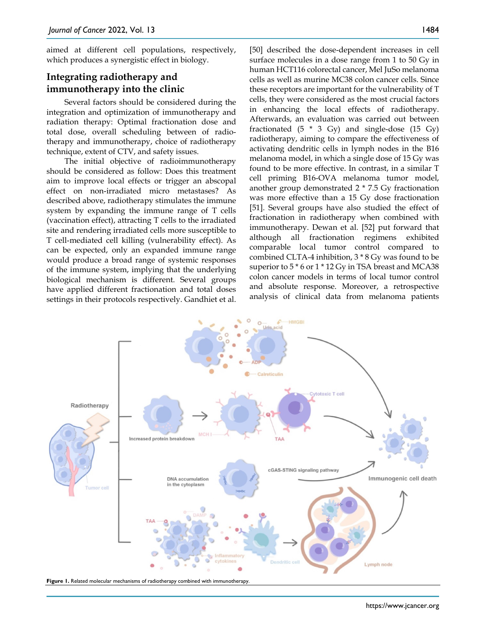aimed at different cell populations, respectively, which produces a synergistic effect in biology.

# **Integrating radiotherapy and immunotherapy into the clinic**

Several factors should be considered during the integration and optimization of immunotherapy and radiation therapy: Optimal fractionation dose and total dose, overall scheduling between of radiotherapy and immunotherapy, choice of radiotherapy technique, extent of CTV, and safety issues.

The initial objective of radioimmunotherapy should be considered as follow: Does this treatment aim to improve local effects or trigger an abscopal effect on non-irradiated micro metastases? As described above, radiotherapy stimulates the immune system by expanding the immune range of T cells (vaccination effect), attracting T cells to the irradiated site and rendering irradiated cells more susceptible to T cell-mediated cell killing (vulnerability effect). As can be expected, only an expanded immune range would produce a broad range of systemic responses of the immune system, implying that the underlying biological mechanism is different. Several groups have applied different fractionation and total doses settings in their protocols respectively. Gandhiet et al.

[50] described the dose-dependent increases in cell surface molecules in a dose range from 1 to 50 Gy in human HCT116 colorectal cancer, Mel JuSo melanoma cells as well as murine MC38 colon cancer cells. Since these receptors are important for the vulnerability of T cells, they were considered as the most crucial factors in enhancing the local effects of radiotherapy. Afterwards, an evaluation was carried out between fractionated  $(5 * 3 Gy)$  and single-dose  $(15 Gy)$ radiotherapy, aiming to compare the effectiveness of activating dendritic cells in lymph nodes in the B16 melanoma model, in which a single dose of 15 Gy was found to be more effective. In contrast, in a similar T cell priming B16-OVA melanoma tumor model, another group demonstrated 2 \* 7.5 Gy fractionation was more effective than a 15 Gy dose fractionation [51]. Several groups have also studied the effect of fractionation in radiotherapy when combined with immunotherapy. Dewan et al. [52] put forward that although all fractionation regimens exhibited comparable local tumor control compared to combined CLTA-4 inhibition, 3 \* 8 Gy was found to be superior to  $5 * 6$  or  $1 * 12$  Gy in TSA breast and MCA38 colon cancer models in terms of local tumor control and absolute response. Moreover, a retrospective analysis of clinical data from melanoma patients

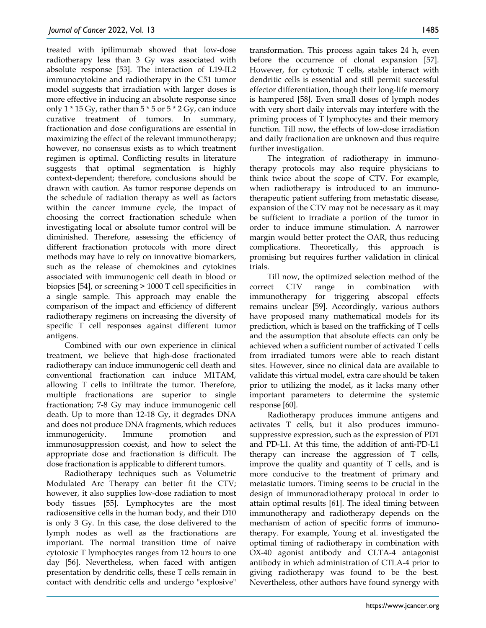treated with ipilimumab showed that low-dose radiotherapy less than 3 Gy was associated with absolute response [53]. The interaction of L19-IL2 immunocytokine and radiotherapy in the C51 tumor model suggests that irradiation with larger doses is more effective in inducing an absolute response since only 1 \* 15 Gy, rather than 5 \* 5 or 5 \* 2 Gy, can induce curative treatment of tumors. In summary, fractionation and dose configurations are essential in maximizing the effect of the relevant immunotherapy; however, no consensus exists as to which treatment regimen is optimal. Conflicting results in literature suggests that optimal segmentation is highly context-dependent; therefore, conclusions should be drawn with caution. As tumor response depends on the schedule of radiation therapy as well as factors within the cancer immune cycle, the impact of choosing the correct fractionation schedule when investigating local or absolute tumor control will be diminished. Therefore, assessing the efficiency of different fractionation protocols with more direct methods may have to rely on innovative biomarkers, such as the release of chemokines and cytokines associated with immunogenic cell death in blood or biopsies [54], or screening > 1000 T cell specificities in a single sample. This approach may enable the comparison of the impact and efficiency of different radiotherapy regimens on increasing the diversity of specific T cell responses against different tumor antigens.

Combined with our own experience in clinical treatment, we believe that high-dose fractionated radiotherapy can induce immunogenic cell death and conventional fractionation can induce M1TAM, allowing T cells to infiltrate the tumor. Therefore, multiple fractionations are superior to single fractionation; 7-8 Gy may induce immunogenic cell death. Up to more than 12-18 Gy, it degrades DNA and does not produce DNA fragments, which reduces immunogenicity. Immune promotion and immunosuppression coexist, and how to select the appropriate dose and fractionation is difficult. The dose fractionation is applicable to different tumors.

Radiotherapy techniques such as Volumetric Modulated Arc Therapy can better fit the CTV; however, it also supplies low-dose radiation to most body tissues [55]. Lymphocytes are the most radiosensitive cells in the human body, and their D10 is only 3 Gy. In this case, the dose delivered to the lymph nodes as well as the fractionations are important. The normal transition time of naive cytotoxic T lymphocytes ranges from 12 hours to one day [56]. Nevertheless, when faced with antigen presentation by dendritic cells, these T cells remain in contact with dendritic cells and undergo "explosive"

transformation. This process again takes 24 h, even before the occurrence of clonal expansion [57]. However, for cytotoxic T cells, stable interact with dendritic cells is essential and still permit successful effector differentiation, though their long-life memory is hampered [58]. Even small doses of lymph nodes with very short daily intervals may interfere with the priming process of T lymphocytes and their memory function. Till now, the effects of low-dose irradiation and daily fractionation are unknown and thus require further investigation.

The integration of radiotherapy in immunotherapy protocols may also require physicians to think twice about the scope of CTV. For example, when radiotherapy is introduced to an immunotherapeutic patient suffering from metastatic disease, expansion of the CTV may not be necessary as it may be sufficient to irradiate a portion of the tumor in order to induce immune stimulation. A narrower margin would better protect the OAR, thus reducing complications. Theoretically, this approach is promising but requires further validation in clinical trials.

Till now, the optimized selection method of the correct CTV range in combination with immunotherapy for triggering abscopal effects remains unclear [59]. Accordingly, various authors have proposed many mathematical models for its prediction, which is based on the trafficking of T cells and the assumption that absolute effects can only be achieved when a sufficient number of activated T cells from irradiated tumors were able to reach distant sites. However, since no clinical data are available to validate this virtual model, extra care should be taken prior to utilizing the model, as it lacks many other important parameters to determine the systemic response [60].

Radiotherapy produces immune antigens and activates T cells, but it also produces immunosuppressive expression, such as the expression of PD1 and PD-L1. At this time, the addition of anti-PD-L1 therapy can increase the aggression of T cells, improve the quality and quantity of T cells, and is more conducive to the treatment of primary and metastatic tumors. Timing seems to be crucial in the design of immunoradiotherapy protocal in order to attain optimal results [61]. The ideal timing between immunotherapy and radiotherapy depends on the mechanism of action of specific forms of immunotherapy. For example, Young et al. investigated the optimal timing of radiotherapy in combination with OX-40 agonist antibody and CLTA-4 antagonist antibody in which administration of CTLA-4 prior to giving radiotherapy was found to be the best. Nevertheless, other authors have found synergy with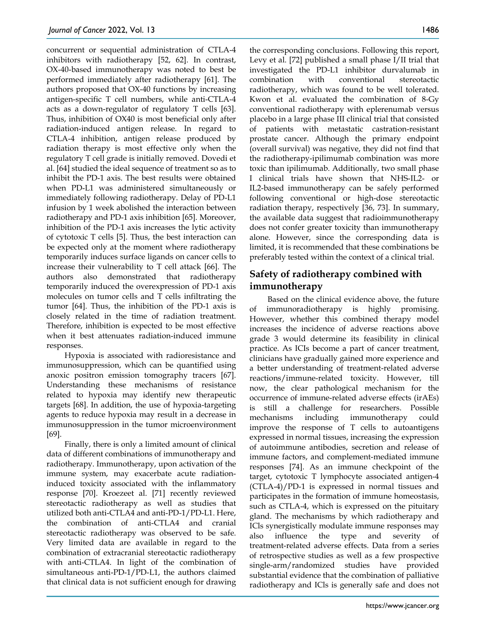concurrent or sequential administration of CTLA-4 inhibitors with radiotherapy [52, 62]. In contrast, OX-40-based immunotherapy was noted to best be performed immediately after radiotherapy [61]. The authors proposed that OX-40 functions by increasing antigen-specific T cell numbers, while anti-CTLA-4 acts as a down-regulator of regulatory T cells [63]. Thus, inhibition of OX40 is most beneficial only after radiation-induced antigen release. In regard to CTLA-4 inhibition, antigen release produced by radiation therapy is most effective only when the regulatory T cell grade is initially removed. Dovedi et al. [64] studied the ideal sequence of treatment so as to inhibit the PD-1 axis. The best results were obtained when PD-L1 was administered simultaneously or immediately following radiotherapy. Delay of PD-L1 infusion by 1 week abolished the interaction between radiotherapy and PD-1 axis inhibition [65]. Moreover, inhibition of the PD-1 axis increases the lytic activity of cytotoxic T cells [5]. Thus, the best interaction can be expected only at the moment where radiotherapy temporarily induces surface ligands on cancer cells to increase their vulnerability to T cell attack [66]. The authors also demonstrated that radiotherapy temporarily induced the overexpression of PD-1 axis molecules on tumor cells and T cells infiltrating the tumor [64]. Thus, the inhibition of the PD-1 axis is closely related in the time of radiation treatment. Therefore, inhibition is expected to be most effective when it best attenuates radiation-induced immune responses.

Hypoxia is associated with radioresistance and immunosuppression, which can be quantified using anoxic positron emission tomography tracers [67]. Understanding these mechanisms of resistance related to hypoxia may identify new therapeutic targets [68]. In addition, the use of hypoxia-targeting agents to reduce hypoxia may result in a decrease in immunosuppression in the tumor microenvironment [69].

Finally, there is only a limited amount of clinical data of different combinations of immunotherapy and radiotherapy. Immunotherapy, upon activation of the immune system, may exacerbate acute radiationinduced toxicity associated with the inflammatory response [70]. Kroezeet al. [71] recently reviewed stereotactic radiotherapy as well as studies that utilized both anti-CTLA4 and anti-PD-1/PD-L1. Here, the combination of anti-CTLA4 and cranial stereotactic radiotherapy was observed to be safe. Very limited data are available in regard to the combination of extracranial stereotactic radiotherapy with anti-CTLA4. In light of the combination of simultaneous anti-PD-1/PD-L1, the authors claimed that clinical data is not sufficient enough for drawing

the corresponding conclusions. Following this report, Levy et al. [72] published a small phase I/II trial that investigated the PD-L1 inhibitor durvalumab in combination with conventional stereotactic radiotherapy, which was found to be well tolerated. Kwon et al. evaluated the combination of 8-Gy conventional radiotherapy with eplerenumab versus placebo in a large phase III clinical trial that consisted of patients with metastatic castration-resistant prostate cancer. Although the primary endpoint (overall survival) was negative, they did not find that the radiotherapy-ipilimumab combination was more toxic than ipilimumab. Additionally, two small phase I clinical trials have shown that NHS-IL2- or IL2-based immunotherapy can be safely performed following conventional or high-dose stereotactic radiation therapy, respectively [36, 73]. In summary, the available data suggest that radioimmunotherapy does not confer greater toxicity than immunotherapy alone. However, since the corresponding data is limited, it is recommended that these combinations be preferably tested within the context of a clinical trial.

# **Safety of radiotherapy combined with immunotherapy**

Based on the clinical evidence above, the future of immunoradiotherapy is highly promising. However, whether this combined therapy model increases the incidence of adverse reactions above grade 3 would determine its feasibility in clinical practice. As ICIs become a part of cancer treatment, clinicians have gradually gained more experience and a better understanding of treatment-related adverse reactions/immune-related toxicity. However, till now, the clear pathological mechanism for the occurrence of immune-related adverse effects (irAEs) is still a challenge for researchers. Possible mechanisms including immunotherapy could improve the response of T cells to autoantigens expressed in normal tissues, increasing the expression of autoimmune antibodies, secretion and release of immune factors, and complement-mediated immune responses [74]. As an immune checkpoint of the target, cytotoxic T lymphocyte associated antigen-4 (CTLA-4)/PD-1 is expressed in normal tissues and participates in the formation of immune homeostasis, such as CTLA-4, which is expressed on the pituitary gland. The mechanisms by which radiotherapy and ICls synergistically modulate immune responses may also influence the type and severity of treatment-related adverse effects. Data from a series of retrospective studies as well as a few prospective single-arm/randomized studies have provided substantial evidence that the combination of palliative radiotherapy and ICls is generally safe and does not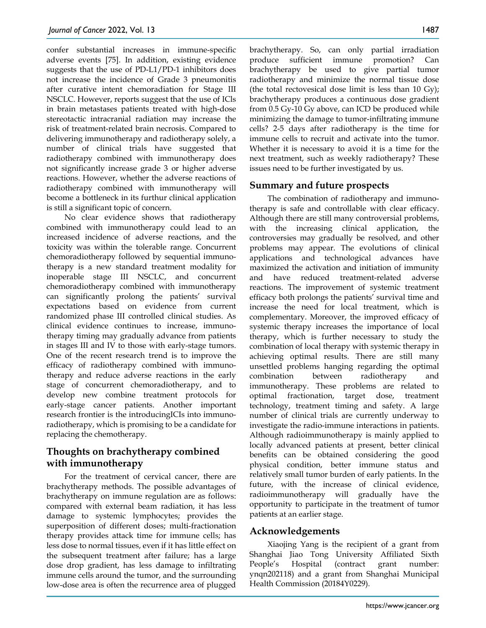confer substantial increases in immune-specific adverse events [75]. In addition, existing evidence suggests that the use of PD-L1/PD-1 inhibitors does not increase the incidence of Grade 3 pneumonitis after curative intent chemoradiation for Stage III NSCLC. However, reports suggest that the use of ICls in brain metastases patients treated with high-dose stereotactic intracranial radiation may increase the risk of treatment-related brain necrosis. Compared to delivering immunotherapy and radiotherapy solely, a number of clinical trials have suggested that radiotherapy combined with immunotherapy does not significantly increase grade 3 or higher adverse reactions. However, whether the adverse reactions of radiotherapy combined with immunotherapy will become a bottleneck in its furthur clinical application is still a significant topic of concern.

No clear evidence shows that radiotherapy combined with immunotherapy could lead to an increased incidence of adverse reactions, and the toxicity was within the tolerable range. Concurrent chemoradiotherapy followed by sequential immunotherapy is a new standard treatment modality for inoperable stage III NSCLC, and concurrent chemoradiotherapy combined with immunotherapy can significantly prolong the patients' survival expectations based on evidence from current randomized phase III controlled clinical studies. As clinical evidence continues to increase, immunotherapy timing may gradually advance from patients in stages III and IV to those with early-stage tumors. One of the recent research trend is to improve the efficacy of radiotherapy combined with immunotherapy and reduce adverse reactions in the early stage of concurrent chemoradiotherapy, and to develop new combine treatment protocols for early-stage cancer patients. Another important research frontier is the introducingICIs into immunoradiotherapy, which is promising to be a candidate for replacing the chemotherapy.

# **Thoughts on brachytherapy combined with immunotherapy**

For the treatment of cervical cancer, there are brachytherapy methods. The possible advantages of brachytherapy on immune regulation are as follows: compared with external beam radiation, it has less damage to systemic lymphocytes; provides the superposition of different doses; multi-fractionation therapy provides attack time for immune cells; has less dose to normal tissues, even if it has little effect on the subsequent treatment after failure; has a large dose drop gradient, has less damage to infiltrating immune cells around the tumor, and the surrounding low-dose area is often the recurrence area of plugged

brachytherapy. So, can only partial irradiation produce sufficient immune promotion? Can brachytherapy be used to give partial tumor radiotherapy and minimize the normal tissue dose (the total rectovesical dose limit is less than 10 Gy); brachytherapy produces a continuous dose gradient from 0.5 Gy-10 Gy above, can ICD be produced while minimizing the damage to tumor-infiltrating immune cells? 2-5 days after radiotherapy is the time for immune cells to recruit and activate into the tumor. Whether it is necessary to avoid it is a time for the next treatment, such as weekly radiotherapy? These issues need to be further investigated by us.

## **Summary and future prospects**

The combination of radiotherapy and immunotherapy is safe and controllable with clear efficacy. Although there are still many controversial problems, with the increasing clinical application, the controversies may gradually be resolved, and other problems may appear. The evolutions of clinical applications and technological advances have maximized the activation and initiation of immunity and have reduced treatment-related adverse reactions. The improvement of systemic treatment efficacy both prolongs the patients' survival time and increase the need for local treatment, which is complementary. Moreover, the improved efficacy of systemic therapy increases the importance of local therapy, which is further necessary to study the combination of local therapy with systemic therapy in achieving optimal results. There are still many unsettled problems hanging regarding the optimal combination between radiotherapy and immunotherapy. These problems are related to optimal fractionation, target dose, treatment technology, treatment timing and safety. A large number of clinical trials are currently underway to investigate the radio-immune interactions in patients. Although radioimmunotherapy is mainly applied to locally advanced patients at present, better clinical benefits can be obtained considering the good physical condition, better immune status and relatively small tumor burden of early patients. In the future, with the increase of clinical evidence, radioimmunotherapy will gradually have the opportunity to participate in the treatment of tumor patients at an earlier stage.

## **Acknowledgements**

Xiaojing Yang is the recipient of a grant from Shanghai Jiao Tong University Affiliated Sixth People's Hospital (contract grant number: ynqn202118) and a grant from Shanghai Municipal Health Commission (20184Y0229).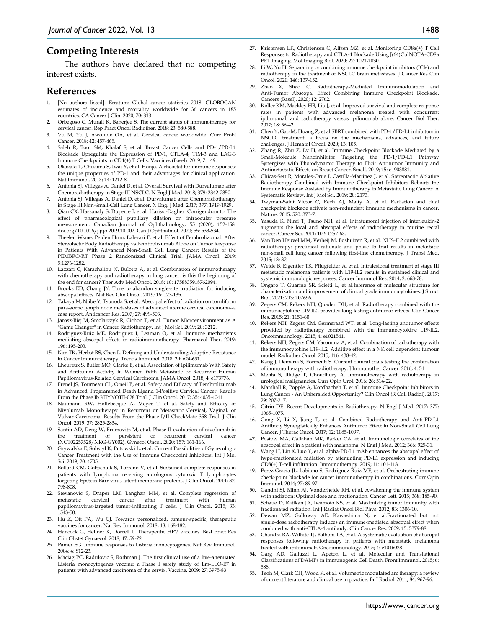## **Competing Interests**

The authors have declared that no competing interest exists.

#### **References**

- 1. [No authors listed]. Erratum: Global cancer statistics 2018: GLOBOCAN estimates of incidence and mortality worldwide for 36 cancers in 185 countries. CA Cancer J Clin. 2020; 70: 313.
- 2. Orbegoso C, Murali K, Banerjee S. The current status of immunotherapy for cervical cancer. Rep Pract Oncol Radiother. 2018; 23: 580-588.
- 3. Vu M, Yu J, Awolude OA, et al. Cervical cancer worldwide. Curr Probl Cancer. 2018; 42: 457-465.
- 4. Saleh R, Toor SM, Khalaf S, et al. Breast Cancer Cells and PD-1/PD-L1 Blockade Upregulate the Expression of PD-1, CTLA-4, TIM-3 and LAG-3 Immune Checkpoints in CD4(+) T Cells. Vaccines (Basel). 2019; 7: 149.
- 5. Okazaki T, Chikuma S, Iwai Y, et al. Honjo. A rheostat for immune responses: the unique properties of PD-1 and their advantages for clinical application. Nat Immunol. 2013; 14: 1212-8.
- 6. Antonia SJ, Villegas A, Daniel D, et al. Overall Survival with Durvalumab after Chemoradiotherapy in Stage III NSCLC. N Engl J Med. 2018; 379: 2342-2350.
- 7. Antonia SJ, Villegas A, Daniel D, et al. Durvalumab after Chemoradiotherapy in Stage III Non-Small-Cell Lung Cancer. N Engl J Med. 2017; 377: 1919-1929.
- 8. Qian CX, Hassanaly S, Duperre J, et al. Harissi-Dagher. Corrigendum to: The effect of pharmacological pupillary dilation on intraocular pressure measurement. Canadian Journal of Ophthalmology, 55 (2020), 152-158. doi.org/10.1016/j.jcjo.2019.10.002. Can J Ophthalmol. 2020; 55: 533-534.
- Theelen Wsme, Peulen Hmu, Lalezari F, et al. Effect of Pembrolizumab After Stereotactic Body Radiotherapy vs Pembrolizumab Alone on Tumor Response in Patients With Advanced Non-Small Cell Lung Cancer: Results of the PEMBRO-RT Phase 2 Randomized Clinical Trial. JAMA Oncol. 2019; 5:1276-1282.
- 10. Lazzari C, Karachaliou N, Bulotta A, et al. Combination of immunotherapy with chemotherapy and radiotherapy in lung cancer: is this the beginning of the end for cancer? Ther Adv Med Oncol. 2018; 10: 1758835918762094.
- 11. Brooks ED, Chang JY. Time to abandon single-site irradiation for inducing abscopal effects. Nat Rev Clin Oncol. 2019; 16: 123-135.
- 12. Takaya M, Niibe Y, Tsunoda S, et al. Abscopal effect of radiation on toruliform para-aortic lymph node metastases of advanced uterine cervical carcinoma--a case report. Anticancer Res. 2007; 27: 499-503.
- 13. Jarosz-Biej M, Smolarczyk R, Cichon T, et al. Tumor Microenvironment as A Game Changer" in Cancer Radiotherapy. Int J Mol Sci. 2019; 20: 3212.
- 14. Rodriguez-Ruiz ME, Rodriguez I, Leaman O, et al. Immune mechanisms mediating abscopal effects in radioimmunotherapy. Pharmacol Ther. 2019; 196: 195-203.
- 15. Kim TK, Herbst RS, Chen L. Defining and Understanding Adaptive Resistance in Cancer Immunotherapy. Trends Immunol. 2018; 39: 624-631.
- 16. Lheureux S, Butler MO, Clarke B, et al. Association of Ipilimumab With Safety and Antitumor Activity in Women With Metastatic or Recurrent Human Papillomavirus-Related Cervical Carcinoma. JAMA Oncol. 2018; 4: e173776.
- 17. Frenel JS, Tourneau CL, O'neil B, et al. Safety and Efficacy of Pembrolizumab in Advanced, Programmed Death Ligand 1-Positive Cervical Cancer: Results From the Phase Ib KEYNOTE-028 Trial. J Clin Oncol. 2017; 35: 4035-4041.
- 18. Naumann RW, Hollebecque A, Meyer T, et al. Safety and Efficacy of Nivolumab Monotherapy in Recurrent or Metastatic Cervical, Vaginal, or Vulvar Carcinoma: Results From the Phase I/II CheckMate 358 Trial. J Clin Oncol. 2019; 37: 2825-2834.
- 19. Santin AD, Deng W, Frumovitz M, et al. Phase II evaluation of nivolumab in the treatment of persistent or recurrent cervical cancer (NCT02257528/NRG-GY002). Gynecol Oncol. 2020; 157: 161-166.
- 20. Grywalska E, Sobstyl K, Putowski L, et al. Current Possibilities of Gynecologic Cancer Treatment with the Use of Immune Checkpoint Inhibitors. Int J Mol Sci. 2019; 20: 4705.
- 21. Bollard CM, Gottschalk S, Torrano V, et al. Sustained complete responses in patients with lymphoma receiving autologous cytotoxic T lymphocytes targeting Epstein-Barr virus latent membrane proteins. J Clin Oncol. 2014; 32: 798-808.
- 22. Stevanovic S, Draper LM, Langhan MM, et al. Complete regression of metastatic cervical cancer after treatment with human metastatic cervical cancer after treatment with papillomavirus-targeted tumor-infiltrating T cells. J Clin Oncol. 2015; 33: 1543-50.
- 23. Hu Z, Ott PA, Wu CJ. Towards personalized, tumour-specific, therapeutic vaccines for cancer. Nat Rev Immunol. 2018; 18: 168-182.
- 24. Hancock G, Hellner K, Dorrell L. Therapeutic HPV vaccines. Best Pract Res Clin Obstet Gynaecol. 2018; 47: 59-72.
- 25. Pamer EG. Immune responses to Listeria monocytogenes. Nat Rev Immunol. 2004; 4: 812-23.
- 26. Maciag PC, Radulovic S, Rothman J. The first clinical use of a live-attenuated Listeria monocytogenes vaccine: a Phase I safety study of Lm-LLO-E7 in patients with advanced carcinoma of the cervix. Vaccine. 2009; 27: 3975-83.
- 27. Kristensen LK, Christensen C, Alfsen MZ, et al. Monitoring CD8a(+) T Cell Responses to Radiotherapy and CTLA-4 Blockade Using [(64)Cu]NOTA-CD8a PET Imaging. Mol Imaging Biol. 2020; 22: 1021-1030.
- 28. Li W, Yu H. Separating or combining immune checkpoint inhibitors (ICIs) and radiotherapy in the treatment of NSCLC brain metastases. J Cancer Res Clin Oncol. 2020; 146: 137-152.
- 29. Zhao X, Shao C. Radiotherapy-Mediated Immunomodulation and Anti-Tumor Abscopal Effect Combining Immune Checkpoint Blockade. Cancers (Basel). 2020; 12: 2762.
- 30. Koller KM, Mackley HB, Liu J, et al. Improved survival and complete response rates in patients with advanced melanoma treated with concurrent ipilimumab and radiotherapy versus ipilimumab alone. Cancer Biol Ther. 2017; 18: 36-42.
- Chen Y, Gao M, Huang Z, et al.SBRT combined with PD-1/PD-L1 inhibitors in NSCLC treatment: a focus on the mechanisms, advances, and future challenges. J Hematol Oncol. 2020; 13: 105.
- 32. Zhang R, Zhu Z, Lv H, et al. Immune Checkpoint Blockade Mediated by a Small-Molecule Nanoinhibitor Targeting the PD-1/PD-L1 Pathway Synergizes with Photodynamic Therapy to Elicit Antitumor Immunity and Antimetastatic Effects on Breast Cancer. Small. 2019; 15: e1903881.
- 33. Chicas-Sett R, Morales-Orue I, Castilla-Martinez J, et al. Stereotactic Ablative Radiotherapy Combined with Immune Checkpoint Inhibitors Reboots the Immune Response Assisted by Immunotherapy in Metastatic Lung Cancer: A Systematic Review. Int J Mol Sci. 2019; 20: 2173.
- 34. Twyman-Saint Victor C, Rech AJ, Maity A, et al. Radiation and dual checkpoint blockade activate non-redundant immune mechanisms in cancer. Nature. 2015; 520: 373-7.
- 35. Yasuda K, Nirei T, Tsuno NH, et al. Intratumoral injection of interleukin-2 augments the local and abscopal effects of radiotherapy in murine rectal cancer. Cancer Sci. 2011; 102: 1257-63.
- 36. Van Den Heuvel MM, Verheij M, Boshuizen R, et al. NHS-IL2 combined with radiotherapy: preclinical rationale and phase Ib trial results in metastatic non-small cell lung cancer following first-line chemotherapy. J Transl Med. 2015; 13: 32.
- 37. Weide B, Eigentler TK, Pflugfelder A, et al. Intralesional treatment of stage III metastatic melanoma patients with L19-IL2 results in sustained clinical and systemic immunologic responses. Cancer Immunol Res. 2014; 2: 668-78.
- 38. Ongaro T, Guarino SR, Scietti L, et al.Inference of molecular structure for characterization and improvement of clinical grade immunocytokines. J Struct Biol. 2021; 213: 107696.
- 39. Zegers CM, Rekers NH, Quaden DH, et al. Radiotherapy combined with the immunocytokine L19-IL2 provides long-lasting antitumor effects. Clin Cancer Res. 2015; 21: 1151-60.
- Rekers NH, Zegers CM, Germeraad WT, et al. Long-lasting antitumor effects provided by radiotherapy combined with the immunocytokine L19-IL2. Oncoimmunology. 2015; 4: e1021541.
- Rekers NH, Zegers CM, Yaromina A, et al. Combination of radiotherapy with the immunocytokine L19-IL2: Additive effect in a NK cell dependent tumour model. Radiother Oncol. 2015; 116: 438-42.
- 42. Kang J, Demaria S, Formenti S. Current clinical trials testing the combination of immunotherapy with radiotherapy. J Immunother Cancer. 2016; 4: 51.
- 43. Mehta S, Illidge T, Choudhury A. Immunotherapy with radiotherapy in urological malignancies. Curr Opin Urol. 2016; 26: 514-22.
- 44. Marshall R, Popple A, Kordbacheh T, et al. Immune Checkpoint Inhibitors in Lung Cancer - An Unheralded Opportunity? Clin Oncol (R Coll Radiol). 2017; 29: 207-217.
- 45. Citrin DE. Recent Developments in Radiotherapy. N Engl J Med. 2017; 377: 1065-1075.
- 46. Gong X, Li X, Jiang T, et al. Combined Radiotherapy and Anti-PD-L1 Antibody Synergistically Enhances Antitumor Effect in Non-Small Cell Lung Cancer. J Thorac Oncol. 2017; 12: 1085-1097.
- Postow MA, Callahan MK, Barker CA, et al. Immunologic correlates of the abscopal effect in a patient with melanoma. N Engl J Med. 2012; 366: 925-31.
- Wang H, Lin X, Luo Y, et al. alpha-PD-L1 mAb enhances the abscopal effect of hypo-fractionated radiation by attenuating PD-L1 expression and inducing CD8(+) T-cell infiltration. Immunotherapy. 2019; 11: 101-118.
- 49. Perez-Gracia JL, Labiano S, Rodriguez-Ruiz ME, et al. Orchestrating immune check-point blockade for cancer immunotherapy in combinations. Curr Opin Immunol. 2014; 27: 89-97.
- 50. Gandhi SJ, Minn AJ, Vonderheide RH, et al. Awakening the immune system with radiation: Optimal dose and fractionation. Cancer Lett. 2015; 368: 185-90.
- 51. Schaue D, Ratikan JA, Iwamoto KS, et al. Maximizing tumor immunity with fractionated radiation. Int J Radiat Oncol Biol Phys. 2012; 83: 1306-10.
- 52. Dewan MZ, Galloway AE, Kawashima N, et al.Fractionated but not single-dose radiotherapy induces an immune-mediated abscopal effect when combined with anti-CTLA-4 antibody. Clin Cancer Res. 2009; 15: 5379-88.
- 53. Chandra RA, Wilhite TJ, Balboni TA, et al. A systematic evaluation of abscopal responses following radiotherapy in patients with metastatic melanoma treated with ipilimumab. Oncoimmunology. 2015; 4: e1046028.
- 54. Garg AD, Galluzzi L, Apetoh L, et al. Molecular and Translational Classifications of DAMPs in Immunogenic Cell Death. Front Immunol. 2015; 6: 588.
- 55. Teoh M, Clark CH, Wood K, et al. Volumetric modulated arc therapy: a review of current literature and clinical use in practice. Br J Radiol. 2011; 84: 967-96.